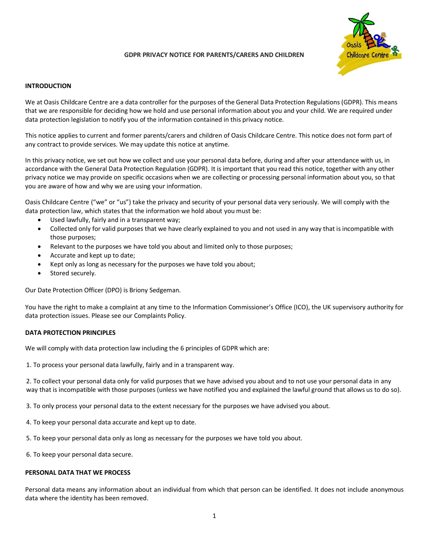# **GDPR PRIVACY NOTICE FOR PARENTS/CARERS AND CHILDREN**



### **INTRODUCTION**

We at Oasis Childcare Centre are a data controller for the purposes of the General Data Protection Regulations (GDPR). This means that we are responsible for deciding how we hold and use personal information about you and your child. We are required under data protection legislation to notify you of the information contained in this privacy notice.

This notice applies to current and former parents/carers and children of Oasis Childcare Centre. This notice does not form part of any contract to provide services. We may update this notice at anytime.

In this privacy notice, we set out how we collect and use your personal data before, during and after your attendance with us, in accordance with the General Data Protection Regulation (GDPR). It is important that you read this notice, together with any other privacy notice we may provide on specific occasions when we are collecting or processing personal information about you, so that you are aware of how and why we are using your information.

Oasis Childcare Centre ("we" or "us") take the privacy and security of your personal data very seriously. We will comply with the data protection law, which states that the information we hold about you must be:

- Used lawfully, fairly and in a transparent way;
- Collected only for valid purposes that we have clearly explained to you and not used in any way that is incompatible with those purposes;
- Relevant to the purposes we have told you about and limited only to those purposes;
- Accurate and kept up to date;
- Kept only as long as necessary for the purposes we have told you about;
- Stored securely.

Our Date Protection Officer (DPO) is Briony Sedgeman.

You have the right to make a complaint at any time to the Information Commissioner's Office (ICO), the UK supervisory authority for data protection issues. Please see our Complaints Policy.

#### **DATA PROTECTION PRINCIPLES**

We will comply with data protection law including the 6 principles of GDPR which are:

1. To process your personal data lawfully, fairly and in a transparent way.

2. To collect your personal data only for valid purposes that we have advised you about and to not use your personal data in any way that is incompatible with those purposes (unless we have notified you and explained the lawful ground that allows us to do so).

3. To only process your personal data to the extent necessary for the purposes we have advised you about.

- 4. To keep your personal data accurate and kept up to date.
- 5. To keep your personal data only as long as necessary for the purposes we have told you about.
- 6. To keep your personal data secure.

## **PERSONAL DATA THAT WE PROCESS**

Personal data means any information about an individual from which that person can be identified. It does not include anonymous data where the identity has been removed.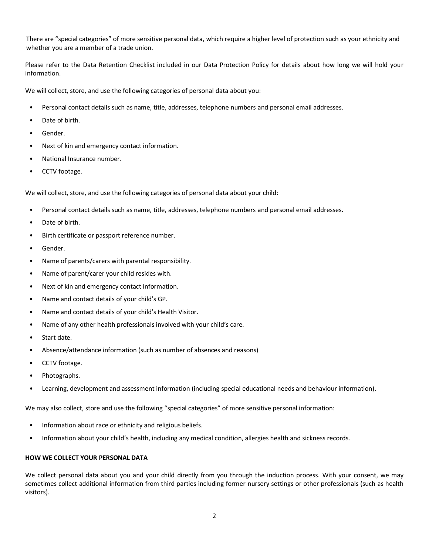There are "special categories" of more sensitive personal data, which require a higher level of protection such as your ethnicity and whether you are a member of a trade union.

Please refer to the Data Retention Checklist included in our Data Protection Policy for details about how long we will hold your information.

We will collect, store, and use the following categories of personal data about you:

- Personal contact details such as name, title, addresses, telephone numbers and personal email addresses.
- Date of birth.
- Gender.
- Next of kin and emergency contact information.
- National Insurance number.
- CCTV footage.

We will collect, store, and use the following categories of personal data about your child:

- Personal contact details such as name, title, addresses, telephone numbers and personal email addresses.
- Date of birth.
- Birth certificate or passport reference number.
- Gender.
- Name of parents/carers with parental responsibility.
- Name of parent/carer your child resides with.
- Next of kin and emergency contact information.
- Name and contact details of your child's GP.
- Name and contact details of your child's Health Visitor.
- Name of any other health professionals involved with your child's care.
- Start date.
- Absence/attendance information (such as number of absences and reasons)
- CCTV footage.
- Photographs.
- Learning, development and assessment information (including special educational needs and behaviour information).

We may also collect, store and use the following "special categories" of more sensitive personal information:

- Information about race or ethnicity and religious beliefs.
- Information about your child's health, including any medical condition, allergies health and sickness records.

### **HOW WE COLLECT YOUR PERSONAL DATA**

We collect personal data about you and your child directly from you through the induction process. With your consent, we may sometimes collect additional information from third parties including former nursery settings or other professionals (such as health visitors).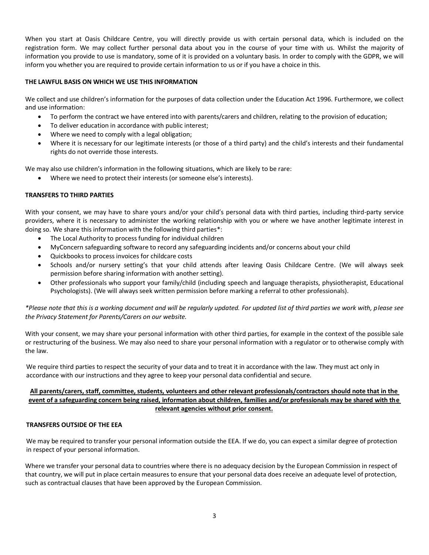When you start at Oasis Childcare Centre, you will directly provide us with certain personal data, which is included on the registration form. We may collect further personal data about you in the course of your time with us. Whilst the majority of information you provide to use is mandatory, some of it is provided on a voluntary basis. In order to comply with the GDPR, we will inform you whether you are required to provide certain information to us or if you have a choice in this.

# **THE LAWFUL BASIS ON WHICH WE USE THIS INFORMATION**

We collect and use children's information for the purposes of data collection under the Education Act 1996. Furthermore, we collect and use information:

- To perform the contract we have entered into with parents/carers and children, relating to the provision of education;
- To deliver education in accordance with public interest;
- Where we need to comply with a legal obligation;
- Where it is necessary for our legitimate interests (or those of a third party) and the child's interests and their fundamental rights do not override those interests.

We may also use children's information in the following situations, which are likely to be rare:

Where we need to protect their interests (or someone else's interests).

# **TRANSFERS TO THIRD PARTIES**

With your consent, we may have to share yours and/or your child's personal data with third parties, including third-party service providers, where it is necessary to administer the working relationship with you or where we have another legitimate interest in doing so. We share this information with the following third parties\*:

- The Local Authority to process funding for individual children
- MyConcern safeguarding software to record any safeguarding incidents and/or concerns about your child
- Quickbooks to process invoices for childcare costs
- Schools and/or nursery setting's that your child attends after leaving Oasis Childcare Centre. (We will always seek permission before sharing information with another setting).
- Other professionals who support your family/child (including speech and language therapists, physiotherapist, Educational Psychologists). (We will always seek written permission before marking a referral to other professionals).

*\*Please note that this is a working document and will be regularly updated. For updated list of third parties we work with, please see the Privacy Statement for Parents/Carers on our website.*

With your consent, we may share your personal information with other third parties, for example in the context of the possible sale or restructuring of the business. We may also need to share your personal information with a regulator or to otherwise comply with the law.

We require third parties to respect the security of your data and to treat it in accordance with the law. They must act only in accordance with our instructions and they agree to keep your personal data confidential and secure.

# **All parents/carers, staff, committee, students, volunteers and other relevant professionals/contractors should note that in the event of a safeguarding concern being raised, information about children, families and/or professionals may be shared with the relevant agencies without prior consent.**

# **TRANSFERS OUTSIDE OF THE EEA**

We may be required to transfer your personal information outside the EEA. If we do, you can expect a similar degree of protection in respect of your personal information.

Where we transfer your personal data to countries where there is no adequacy decision by the European Commission in respect of that country, we will put in place certain measures to ensure that your personal data does receive an adequate level of protection, such as contractual clauses that have been approved by the European Commission.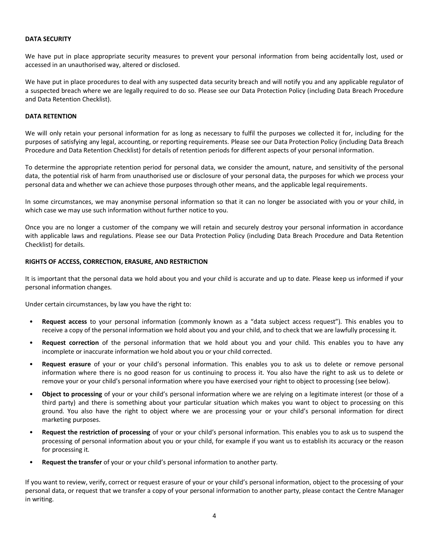### **DATA SECURITY**

We have put in place appropriate security measures to prevent your personal information from being accidentally lost, used or accessed in an unauthorised way, altered or disclosed.

We have put in place procedures to deal with any suspected data security breach and will notify you and any applicable regulator of a suspected breach where we are legally required to do so. Please see our Data Protection Policy (including Data Breach Procedure and Data Retention Checklist).

## **DATA RETENTION**

We will only retain your personal information for as long as necessary to fulfil the purposes we collected it for, including for the purposes of satisfying any legal, accounting, or reporting requirements. Please see our Data Protection Policy (including Data Breach Procedure and Data Retention Checklist) for details of retention periods for different aspects of your personal information.

To determine the appropriate retention period for personal data, we consider the amount, nature, and sensitivity of the personal data, the potential risk of harm from unauthorised use or disclosure of your personal data, the purposes for which we process your personal data and whether we can achieve those purposes through other means, and the applicable legal requirements.

In some circumstances, we may anonymise personal information so that it can no longer be associated with you or your child, in which case we may use such information without further notice to you.

Once you are no longer a customer of the company we will retain and securely destroy your personal information in accordance with applicable laws and regulations. Please see our Data Protection Policy (including Data Breach Procedure and Data Retention Checklist) for details.

### **RIGHTS OF ACCESS, CORRECTION, ERASURE, AND RESTRICTION**

It is important that the personal data we hold about you and your child is accurate and up to date. Please keep us informed if your personal information changes.

Under certain circumstances, by law you have the right to:

- **Request access** to your personal information (commonly known as a "data subject access request"). This enables you to receive a copy of the personal information we hold about you and your child, and to check that we are lawfully processing it.
- **Request correction** of the personal information that we hold about you and your child. This enables you to have any incomplete or inaccurate information we hold about you or your child corrected.
- **Request erasure** of your or your child's personal information. This enables you to ask us to delete or remove personal information where there is no good reason for us continuing to process it. You also have the right to ask us to delete or remove your or your child's personal information where you have exercised your right to object to processing (see below).
- **Object to processing** of your or your child's personal information where we are relying on a legitimate interest (or those of a third party) and there is something about your particular situation which makes you want to object to processing on this ground. You also have the right to object where we are processing your or your child's personal information for direct marketing purposes.
- **Request the restriction of processing** of your or your child's personal information. This enables you to ask us to suspend the processing of personal information about you or your child, for example if you want us to establish its accuracy or the reason for processing it.
- **Request the transfer** of your or your child's personal information to another party.

If you want to review, verify, correct or request erasure of your or your child's personal information, object to the processing of your personal data, or request that we transfer a copy of your personal information to another party, please contact the Centre Manager in writing.